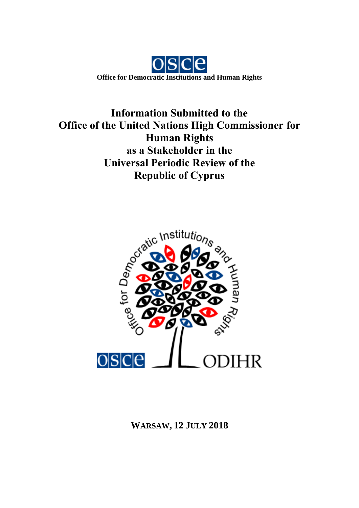

**Information Submitted to the Office of the United Nations High Commissioner for Human Rights as a Stakeholder in the Universal Periodic Review of the Republic of Cyprus**



# **WARSAW, 12 JULY 2018**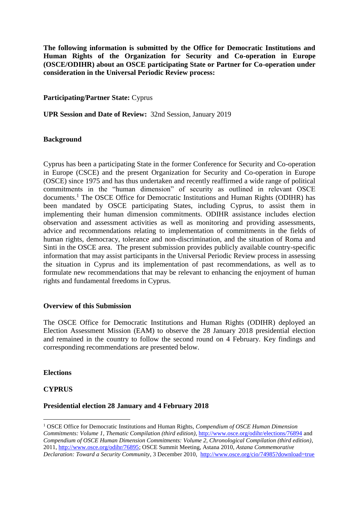**The following information is submitted by the Office for Democratic Institutions and Human Rights of the Organization for Security and Co-operation in Europe (OSCE/ODIHR) about an OSCE participating State or Partner for Co-operation under consideration in the Universal Periodic Review process:**

**Participating/Partner State:** Cyprus

**UPR Session and Date of Review:** 32nd Session, January 2019

### **Background**

Cyprus has been a participating State in the former Conference for Security and Co-operation in Europe (CSCE) and the present Organization for Security and Co-operation in Europe (OSCE) since 1975 and has thus undertaken and recently reaffirmed a wide range of political commitments in the "human dimension" of security as outlined in relevant OSCE documents.<sup>1</sup> The OSCE Office for Democratic Institutions and Human Rights (ODIHR) has been mandated by OSCE participating States, including Cyprus, to assist them in implementing their human dimension commitments. ODIHR assistance includes election observation and assessment activities as well as monitoring and providing assessments, advice and recommendations relating to implementation of commitments in the fields of human rights, democracy, tolerance and non-discrimination, and the situation of Roma and Sinti in the OSCE area. The present submission provides publicly available country-specific information that may assist participants in the Universal Periodic Review process in assessing the situation in Cyprus and its implementation of past recommendations, as well as to formulate new recommendations that may be relevant to enhancing the enjoyment of human rights and fundamental freedoms in Cyprus.

### **Overview of this Submission**

The OSCE Office for Democratic Institutions and Human Rights (ODIHR) deployed an Election Assessment Mission (EAM) to observe the 28 January 2018 presidential election and remained in the country to follow the second round on 4 February. Key findings and corresponding recommendations are presented below.

### **Elections**

### **CYPRUS**

1

### **Presidential election 28 January and 4 February 2018**

<sup>1</sup> OSCE Office for Democratic Institutions and Human Rights, *Compendium of OSCE Human Dimension Commitments: Volume 1, Thematic Compilation (third edition)*[, http://www.osce.org/odihr/elections/76894](http://www.osce.org/odihr/elections/76894) and *Compendium of OSCE Human Dimension Commitments: Volume 2, Chronological Compilation (third edition)*, 2011, [http://www.osce.org/odihr/76895;](http://www.osce.org/odihr/76895) OSCE Summit Meeting, Astana 2010, *Astana Commemorative Declaration: Toward a Security Community*, 3 December 2010, <http://www.osce.org/cio/74985?download=true>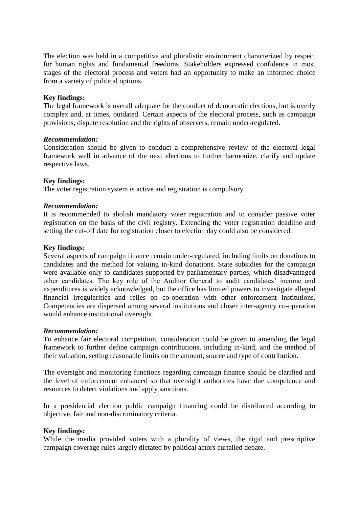The election was held in a competitive and pluralistic environment characterized by respect for human rights and fundamental freedoms. Stakeholders expressed confidence in most stages of the electoral process and voters had an opportunity to make an informed choice from a variety of political options.

### **Key findings:**

The legal framework is overall adequate for the conduct of democratic elections, but is overly complex and, at times, outdated. Certain aspects of the electoral process, such as campaign provisions, dispute resolution and the rights of observers, remain under-regulated.

#### *Recommendation:*

Consideration should be given to conduct a comprehensive review of the electoral legal framework well in advance of the next elections to further harmonize, clarify and update respective laws.

### **Key findings:**

The voter registration system is active and registration is compulsory.

#### *Recommendation:*

It is recommended to abolish mandatory voter registration and to consider passive voter registration on the basis of the civil registry. Extending the voter registration deadline and setting the cut-off date for registration closer to election day could also be considered.

#### **Key findings:**

Several aspects of campaign finance remain under-regulated, including limits on donations to candidates and the method for valuing in-kind donations. State subsidies for the campaign were available only to candidates supported by parliamentary parties, which disadvantaged other candidates. The key role of the Auditor General to audit candidates' income and expenditures is widely acknowledged, but the office has limited powers to investigate alleged financial irregularities and relies on co-operation with other enforcement institutions. Competencies are dispersed among several institutions and closer inter-agency co-operation would enhance institutional oversight.

#### *Recommendation:*

To enhance fair electoral competition, consideration could be given to amending the legal framework to further define campaign contributions, including in-kind, and the method of their valuation, setting reasonable limits on the amount, source and type of contribution.

The oversight and monitoring functions regarding campaign finance should be clarified and the level of enforcement enhanced so that oversight authorities have due competence and resources to detect violations and apply sanctions.

In a presidential election public campaign financing could be distributed according to objective, fair and non-discriminatory criteria.

### **Key findings:**

While the media provided voters with a plurality of views, the rigid and prescriptive campaign coverage rules largely dictated by political actors curtailed debate.